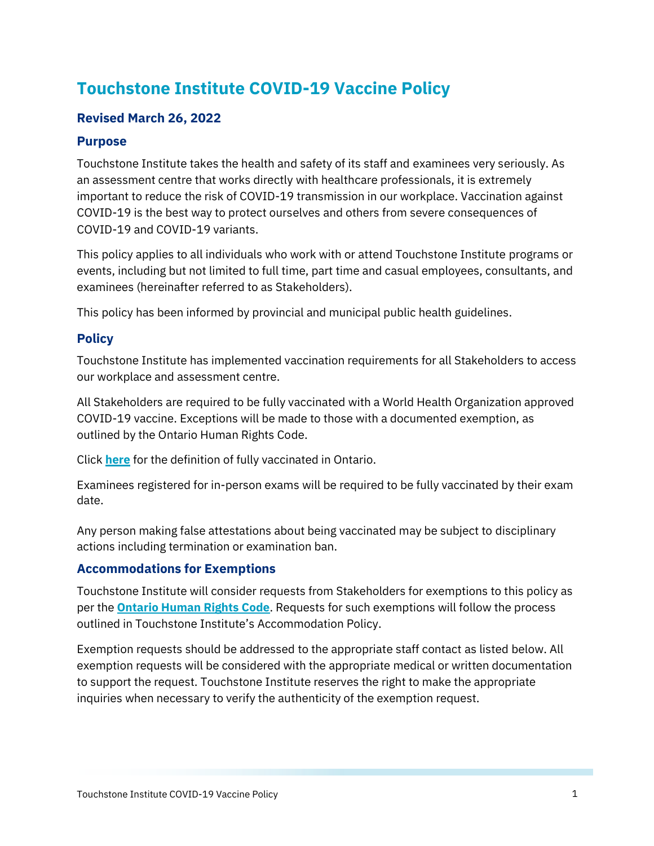# **Touchstone Institute COVID-19 Vaccine Policy**

# **Revised March 26, 2022**

#### **Purpose**

Touchstone Institute takes the health and safety of its staff and examinees very seriously. As an assessment centre that works directly with healthcare professionals, it is extremely important to reduce the risk of COVID-19 transmission in our workplace. Vaccination against COVID-19 is the best way to protect ourselves and others from severe consequences of COVID-19 and COVID-19 variants.

This policy applies to all individuals who work with or attend Touchstone Institute programs or events, including but not limited to full time, part time and casual employees, consultants, and examinees (hereinafter referred to as Stakeholders).

This policy has been informed by provincial and municipal public health guidelines.

### **Policy**

Touchstone Institute has implemented vaccination requirements for all Stakeholders to access our workplace and assessment centre.

All Stakeholders are required to be fully vaccinated with a World Health Organization approved COVID-19 vaccine. Exceptions will be made to those with a documented exemption, as outlined by the Ontario Human Rights Code.

Click **[here](https://covid-19.ontario.ca/proof-covid-19-vaccination#proof-of-vaccination)** for the definition of fully vaccinated in Ontario.

Examinees registered for in-person exams will be required to be fully vaccinated by their exam date.

Any person making false attestations about being vaccinated may be subject to disciplinary actions including termination or examination ban.

#### **Accommodations for Exemptions**

Touchstone Institute will consider requests from Stakeholders for exemptions to this policy as per the **[Ontario Human Rights Code](http://www.ohrc.on.ca/en/news_centre/covid-19-and-ontario%E2%80%99s-human-rights-code-%E2%80%93-questions-and-answers)**. Requests for such exemptions will follow the process outlined in Touchstone Institute's Accommodation Policy.

Exemption requests should be addressed to the appropriate staff contact as listed below. All exemption requests will be considered with the appropriate medical or written documentation to support the request. Touchstone Institute reserves the right to make the appropriate inquiries when necessary to verify the authenticity of the exemption request.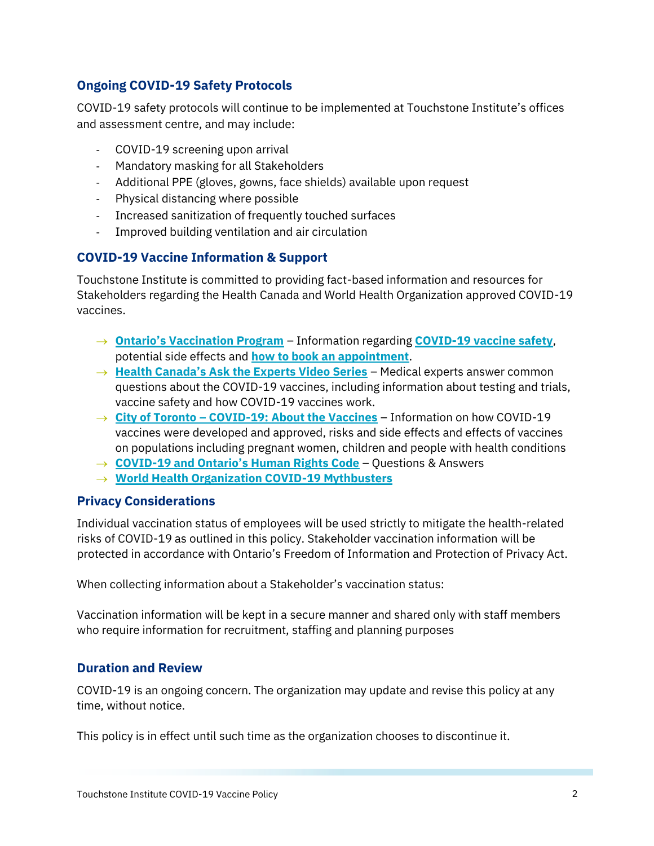# **Ongoing COVID-19 Safety Protocols**

COVID-19 safety protocols will continue to be implemented at Touchstone Institute's offices and assessment centre, and may include:

- COVID-19 screening upon arrival
- Mandatory masking for all Stakeholders
- Additional PPE (gloves, gowns, face shields) available upon request
- Physical distancing where possible
- Increased sanitization of frequently touched surfaces
- Improved building ventilation and air circulation

# **COVID-19 Vaccine Information & Support**

Touchstone Institute is committed to providing fact-based information and resources for Stakeholders regarding the Health Canada and World Health Organization approved COVID-19 vaccines.

- → **[Ontario's Vaccination Program](https://covid-19.ontario.ca/covid-19-vaccines-ontario?gclid=CjwKCAjw1JeJBhB9EiwAV612yzmSDI3V0wKSZwcL9NxU8S3mtmCbUeLZjo5i82q16cHvlVW2iPo5JBoCrR4QAvD_BwE&gclsrc=aw.ds)** Information regarding **[COVID-19 vaccine safety](https://covid-19.ontario.ca/covid-19-vaccine-safety)**, potential side effects and **[how to book an appointment](https://covid-19.ontario.ca/book-vaccine/)**.
- → **[Health Canada's Ask the Experts Video Series](https://www.canada.ca/en/health-canada/services/video/ask-experts-covid-19-vaccines.html)** Medical experts answer common questions about the COVID-19 vaccines, including information about testing and trials, vaccine safety and how COVID-19 vaccines work.
- → **City of Toronto [COVID-19: About the Vaccines](https://www.toronto.ca/home/covid-19/covid-19-protect-yourself-others/covid-19-vaccines/covid-19-about-the-vaccines/)** Information on how COVID-19 vaccines were developed and approved, risks and side effects and effects of vaccines on populations including pregnant women, children and people with health conditions
- → **COVID-[19 and Ontario's Human Rights Code](http://www.ohrc.on.ca/en/news_centre/covid-19-and-ontario%E2%80%99s-human-rights-code-%E2%80%93-questions-and-answers)** Questions & Answers
- → **[World Health Organization COVID-19 Mythbusters](https://www.who.int/emergencies/diseases/novel-coronavirus-2019/advice-for-public/myth-busters)**

### **Privacy Considerations**

Individual vaccination status of employees will be used strictly to mitigate the health-related risks of COVID-19 as outlined in this policy. Stakeholder vaccination information will be protected in accordance with Ontario's Freedom of Information and Protection of Privacy Act.

When collecting information about a Stakeholder's vaccination status:

Vaccination information will be kept in a secure manner and shared only with staff members who require information for recruitment, staffing and planning purposes

### **Duration and Review**

COVID-19 is an ongoing concern. The organization may update and revise this policy at any time, without notice.

This policy is in effect until such time as the organization chooses to discontinue it.